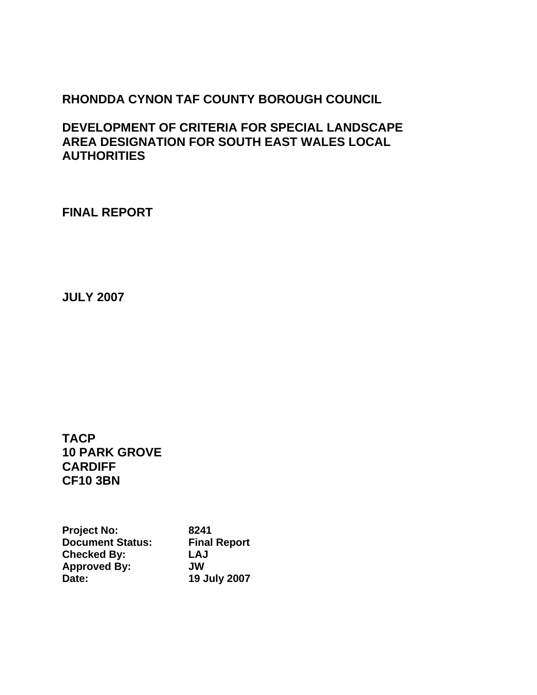# **RHONDDA CYNON TAF COUNTY BOROUGH COUNCIL**

**DEVELOPMENT OF CRITERIA FOR SPECIAL LANDSCAPE AREA DESIGNATION FOR SOUTH EAST WALES LOCAL AUTHORITIES** 

**FINAL REPORT** 

**JULY 2007** 

**TACP 10 PARK GROVE CARDIFF CF10 3BN** 

**Project No:** 8241<br>Document Status: Final Report **Document Status: Checked By: LAJ Approved By: JW Date: 19 July 2007**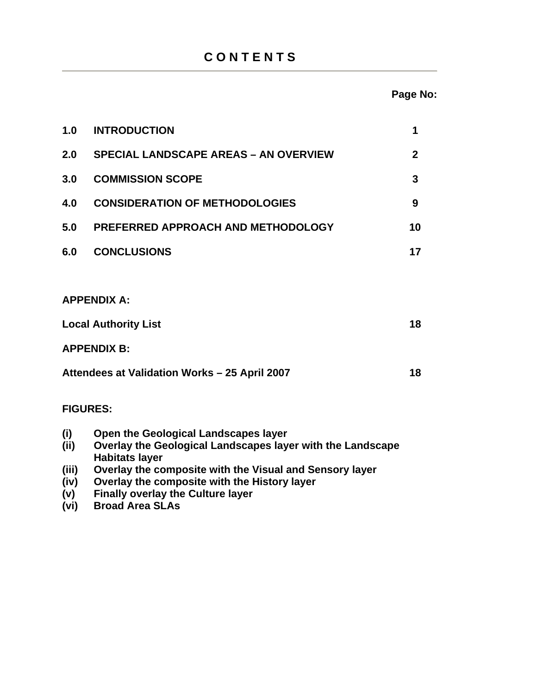# **C O N T E N T S**

## **Page No:**

| 1.0                                           | <b>INTRODUCTION</b>                                                                                | 1            |
|-----------------------------------------------|----------------------------------------------------------------------------------------------------|--------------|
| 2.0                                           | <b>SPECIAL LANDSCAPE AREAS - AN OVERVIEW</b>                                                       | $\mathbf{2}$ |
| 3.0                                           | <b>COMMISSION SCOPE</b>                                                                            | 3            |
| 4.0                                           | <b>CONSIDERATION OF METHODOLOGIES</b>                                                              | 9            |
| 5.0                                           | PREFERRED APPROACH AND METHODOLOGY                                                                 | 10           |
| 6.0                                           | <b>CONCLUSIONS</b>                                                                                 | 17           |
|                                               |                                                                                                    |              |
|                                               | <b>APPENDIX A:</b>                                                                                 |              |
| <b>Local Authority List</b>                   |                                                                                                    | 18           |
| <b>APPENDIX B:</b>                            |                                                                                                    |              |
| Attendees at Validation Works - 25 April 2007 |                                                                                                    | 18           |
| <b>FIGURES:</b>                               |                                                                                                    |              |
| (i)<br>(i)                                    | Open the Geological Landscapes layer<br>Overlay the Geological Landscapes layer with the Landscape |              |

**(iii) Overlay the composite with the Visual and Sensory layer**  Overlay the composite with the History layer

**Habitats layer**<br>(iii) Overlay the co

**(vi) Broad Area SLAs** 

**(v) Finally overlay the Culture layer**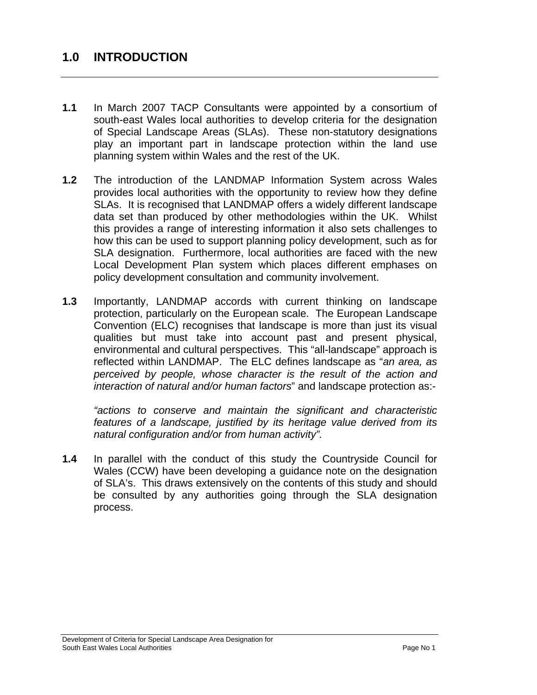## **1.0 INTRODUCTION**

- **1.1** In March 2007 TACP Consultants were appointed by a consortium of south-east Wales local authorities to develop criteria for the designation of Special Landscape Areas (SLAs). These non-statutory designations play an important part in landscape protection within the land use planning system within Wales and the rest of the UK.
- **1.2** The introduction of the LANDMAP Information System across Wales provides local authorities with the opportunity to review how they define SLAs. It is recognised that LANDMAP offers a widely different landscape data set than produced by other methodologies within the UK. Whilst this provides a range of interesting information it also sets challenges to how this can be used to support planning policy development, such as for SLA designation. Furthermore, local authorities are faced with the new Local Development Plan system which places different emphases on policy development consultation and community involvement.
- **1.3** Importantly, LANDMAP accords with current thinking on landscape protection, particularly on the European scale. The European Landscape Convention (ELC) recognises that landscape is more than just its visual qualities but must take into account past and present physical, environmental and cultural perspectives. This "all-landscape" approach is reflected within LANDMAP. The ELC defines landscape as "*an area, as perceived by people, whose character is the result of the action and interaction of natural and/or human factors*" and landscape protection as:-

*"actions to conserve and maintain the significant and characteristic features of a landscape, justified by its heritage value derived from its natural configuration and/or from human activity".*

**1.4** In parallel with the conduct of this study the Countryside Council for Wales (CCW) have been developing a guidance note on the designation of SLA's. This draws extensively on the contents of this study and should be consulted by any authorities going through the SLA designation process.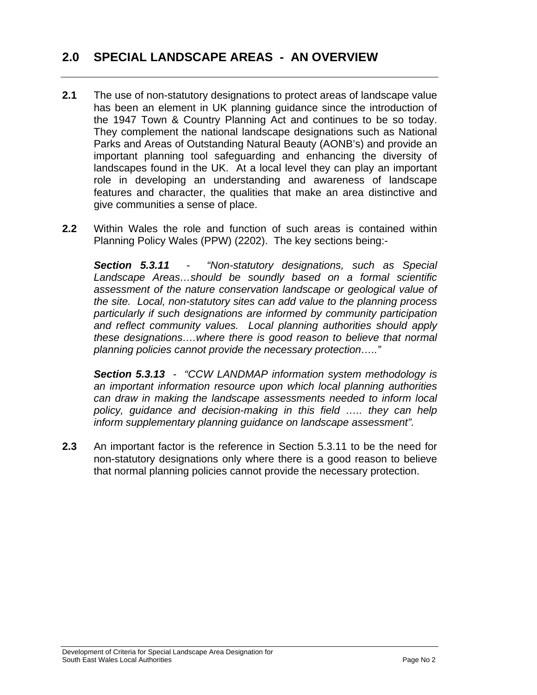# **2.0 SPECIAL LANDSCAPE AREAS - AN OVERVIEW**

- **2.1** The use of non-statutory designations to protect areas of landscape value has been an element in UK planning guidance since the introduction of the 1947 Town & Country Planning Act and continues to be so today. They complement the national landscape designations such as National Parks and Areas of Outstanding Natural Beauty (AONB's) and provide an important planning tool safeguarding and enhancing the diversity of landscapes found in the UK. At a local level they can play an important role in developing an understanding and awareness of landscape features and character, the qualities that make an area distinctive and give communities a sense of place.
- **2.2** Within Wales the role and function of such areas is contained within Planning Policy Wales (PPW) (2202). The key sections being:-

*Section 5.3.11 - "Non-statutory designations, such as Special Landscape Areas…should be soundly based on a formal scientific assessment of the nature conservation landscape or geological value of the site. Local, non-statutory sites can add value to the planning process particularly if such designations are informed by community participation and reflect community values. Local planning authorities should apply these designations….where there is good reason to believe that normal planning policies cannot provide the necessary protection….."* 

*Section 5.3.13 - "CCW LANDMAP information system methodology is an important information resource upon which local planning authorities can draw in making the landscape assessments needed to inform local policy, guidance and decision-making in this field ….. they can help inform supplementary planning guidance on landscape assessment".* 

**2.3** An important factor is the reference in Section 5.3.11 to be the need for non-statutory designations only where there is a good reason to believe that normal planning policies cannot provide the necessary protection.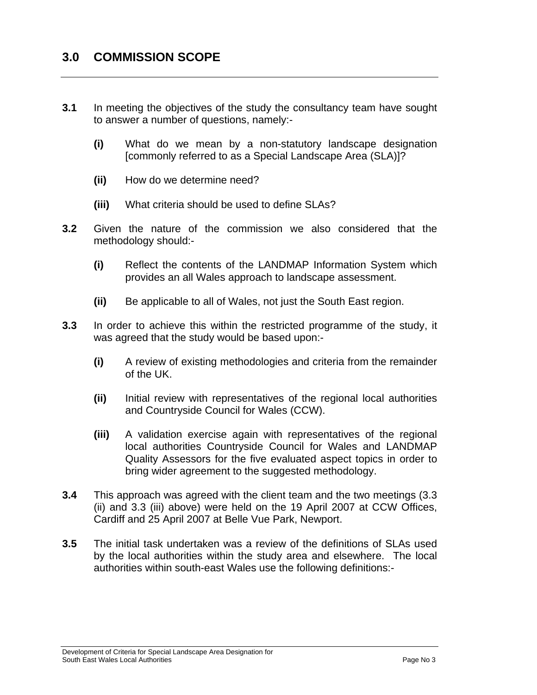- **3.1** In meeting the objectives of the study the consultancy team have sought to answer a number of questions, namely:-
	- **(i)** What do we mean by a non-statutory landscape designation [commonly referred to as a Special Landscape Area (SLA)]?
	- **(ii)** How do we determine need?
	- **(iii)** What criteria should be used to define SLAs?
- **3.2** Given the nature of the commission we also considered that the methodology should:-
	- **(i)** Reflect the contents of the LANDMAP Information System which provides an all Wales approach to landscape assessment.
	- **(ii)** Be applicable to all of Wales, not just the South East region.
- **3.3** In order to achieve this within the restricted programme of the study, it was agreed that the study would be based upon:-
	- **(i)** A review of existing methodologies and criteria from the remainder of the UK.
	- **(ii)** Initial review with representatives of the regional local authorities and Countryside Council for Wales (CCW).
	- **(iii)** A validation exercise again with representatives of the regional local authorities Countryside Council for Wales and LANDMAP Quality Assessors for the five evaluated aspect topics in order to bring wider agreement to the suggested methodology.
- **3.4** This approach was agreed with the client team and the two meetings (3.3 (ii) and 3.3 (iii) above) were held on the 19 April 2007 at CCW Offices, Cardiff and 25 April 2007 at Belle Vue Park, Newport.
- **3.5** The initial task undertaken was a review of the definitions of SLAs used by the local authorities within the study area and elsewhere. The local authorities within south-east Wales use the following definitions:-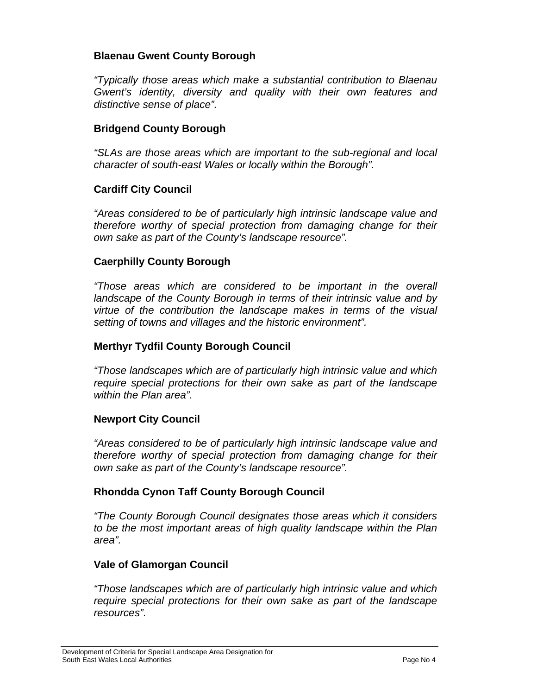#### **Blaenau Gwent County Borough**

*"Typically those areas which make a substantial contribution to Blaenau Gwent's identity, diversity and quality with their own features and distinctive sense of place".* 

#### **Bridgend County Borough**

*"SLAs are those areas which are important to the sub-regional and local character of south-east Wales or locally within the Borough".* 

#### **Cardiff City Council**

*"Areas considered to be of particularly high intrinsic landscape value and therefore worthy of special protection from damaging change for their own sake as part of the County's landscape resource".* 

#### **Caerphilly County Borough**

*"Those areas which are considered to be important in the overall landscape of the County Borough in terms of their intrinsic value and by virtue of the contribution the landscape makes in terms of the visual setting of towns and villages and the historic environment".* 

#### **Merthyr Tydfil County Borough Council**

*"Those landscapes which are of particularly high intrinsic value and which require special protections for their own sake as part of the landscape within the Plan area".* 

#### **Newport City Council**

 *"Areas considered to be of particularly high intrinsic landscape value and therefore worthy of special protection from damaging change for their own sake as part of the County's landscape resource".* 

#### **Rhondda Cynon Taff County Borough Council**

*"The County Borough Council designates those areas which it considers to be the most important areas of high quality landscape within the Plan area".* 

#### **Vale of Glamorgan Council**

*"Those landscapes which are of particularly high intrinsic value and which require special protections for their own sake as part of the landscape resources".*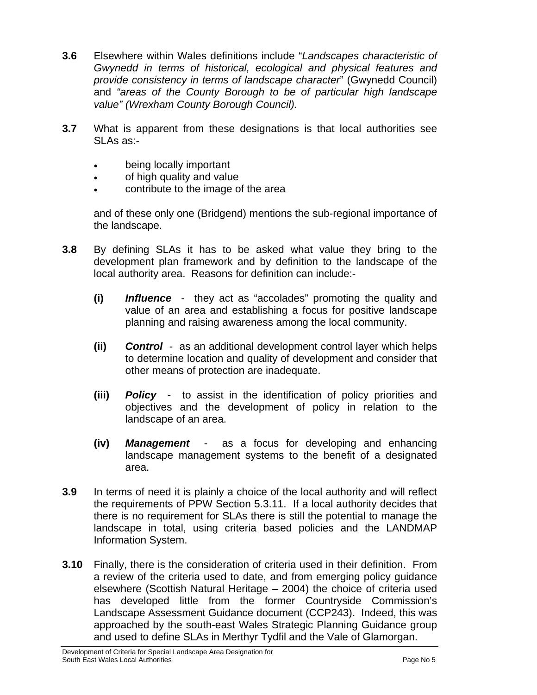- **3.6** Elsewhere within Wales definitions include "*Landscapes characteristic of Gwynedd in terms of historical, ecological and physical features and provide consistency in terms of landscape character*" (Gwynedd Council) and *"areas of the County Borough to be of particular high landscape value" (Wrexham County Borough Council).*
- **3.7** What is apparent from these designations is that local authorities see SLAs as:-
	- being locally important
	- of high quality and value
	- contribute to the image of the area

and of these only one (Bridgend) mentions the sub-regional importance of the landscape.

- **3.8** By defining SLAs it has to be asked what value they bring to the development plan framework and by definition to the landscape of the local authority area. Reasons for definition can include:-
	- **(i)** *Influence*  they act as "accolades" promoting the quality and value of an area and establishing a focus for positive landscape planning and raising awareness among the local community.
	- **(ii)** *Control*  as an additional development control layer which helps to determine location and quality of development and consider that other means of protection are inadequate.
	- **(iii)** *Policy* to assist in the identification of policy priorities and objectives and the development of policy in relation to the landscape of an area.
	- **(iv)** *Management* as a focus for developing and enhancing landscape management systems to the benefit of a designated area.
- **3.9** In terms of need it is plainly a choice of the local authority and will reflect the requirements of PPW Section 5.3.11. If a local authority decides that there is no requirement for SLAs there is still the potential to manage the landscape in total, using criteria based policies and the LANDMAP Information System.
- **3.10** Finally, there is the consideration of criteria used in their definition. From a review of the criteria used to date, and from emerging policy guidance elsewhere (Scottish Natural Heritage – 2004) the choice of criteria used has developed little from the former Countryside Commission's Landscape Assessment Guidance document (CCP243). Indeed, this was approached by the south-east Wales Strategic Planning Guidance group and used to define SLAs in Merthyr Tydfil and the Vale of Glamorgan.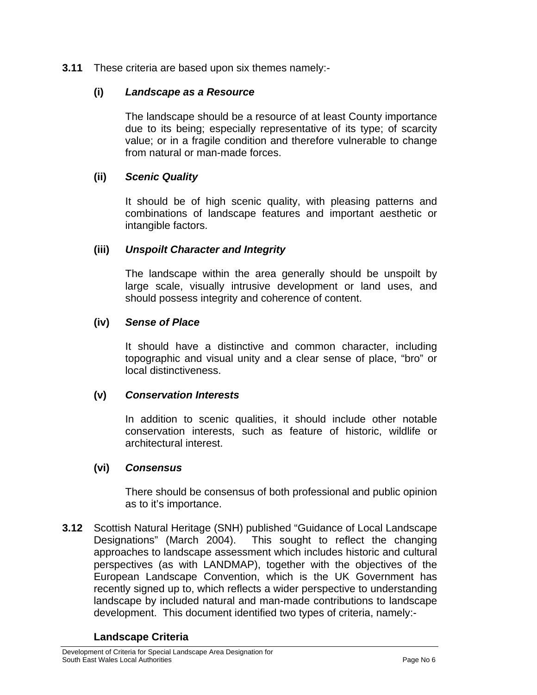**3.11** These criteria are based upon six themes namely:-

### **(i)** *Landscape as a Resource*

The landscape should be a resource of at least County importance due to its being; especially representative of its type; of scarcity value; or in a fragile condition and therefore vulnerable to change from natural or man-made forces.

### **(ii)** *Scenic Quality*

It should be of high scenic quality, with pleasing patterns and combinations of landscape features and important aesthetic or intangible factors.

### **(iii)** *Unspoilt Character and Integrity*

The landscape within the area generally should be unspoilt by large scale, visually intrusive development or land uses, and should possess integrity and coherence of content.

### **(iv)** *Sense of Place*

 It should have a distinctive and common character, including topographic and visual unity and a clear sense of place, "bro" or local distinctiveness.

#### **(v)** *Conservation Interests*

In addition to scenic qualities, it should include other notable conservation interests, such as feature of historic, wildlife or architectural interest.

#### **(vi)** *Consensus*

There should be consensus of both professional and public opinion as to it's importance.

**3.12** Scottish Natural Heritage (SNH) published "Guidance of Local Landscape Designations" (March 2004). This sought to reflect the changing approaches to landscape assessment which includes historic and cultural perspectives (as with LANDMAP), together with the objectives of the European Landscape Convention, which is the UK Government has recently signed up to, which reflects a wider perspective to understanding landscape by included natural and man-made contributions to landscape development. This document identified two types of criteria, namely:-

#### **Landscape Criteria**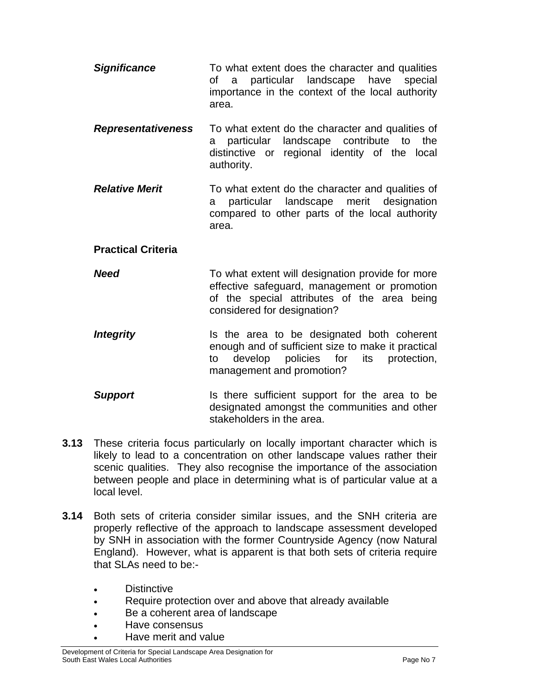- **Significance** To what extent does the character and qualities of a particular landscape have special importance in the context of the local authority area.
- *Representativeness* To what extent do the character and qualities of a particular landscape contribute to the distinctive or regional identity of the local authority.
- *Relative Merit* To what extent do the character and qualities of a particular landscape merit designation compared to other parts of the local authority area.

## **Practical Criteria**

- *Need* To what extent will designation provide for more effective safeguard, management or promotion of the special attributes of the area being considered for designation?
- **Integrity** Is the area to be designated both coherent enough and of sufficient size to make it practical to develop policies for its protection, management and promotion?
- **Support Is there sufficient support for the area to be** designated amongst the communities and other stakeholders in the area.
- **3.13** These criteria focus particularly on locally important character which is likely to lead to a concentration on other landscape values rather their scenic qualities. They also recognise the importance of the association between people and place in determining what is of particular value at a local level.
- **3.14** Both sets of criteria consider similar issues, and the SNH criteria are properly reflective of the approach to landscape assessment developed by SNH in association with the former Countryside Agency (now Natural England). However, what is apparent is that both sets of criteria require that SLAs need to be:-
	- Distinctive
	- Require protection over and above that already available
	- Be a coherent area of landscape
	- Have consensus
	- Have merit and value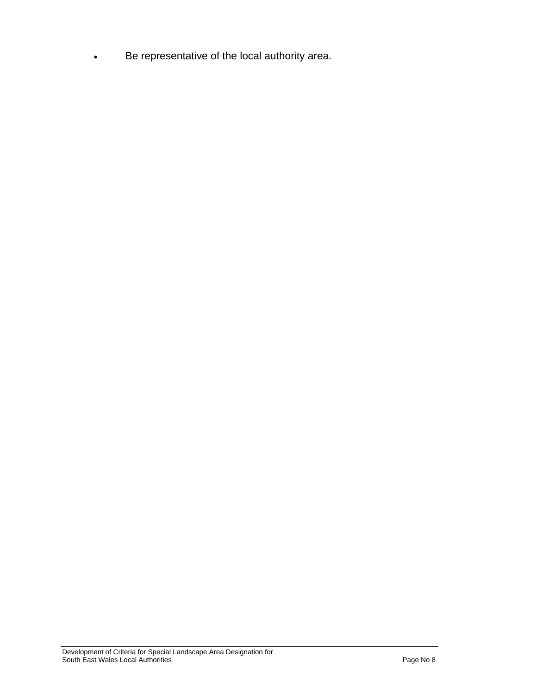• Be representative of the local authority area.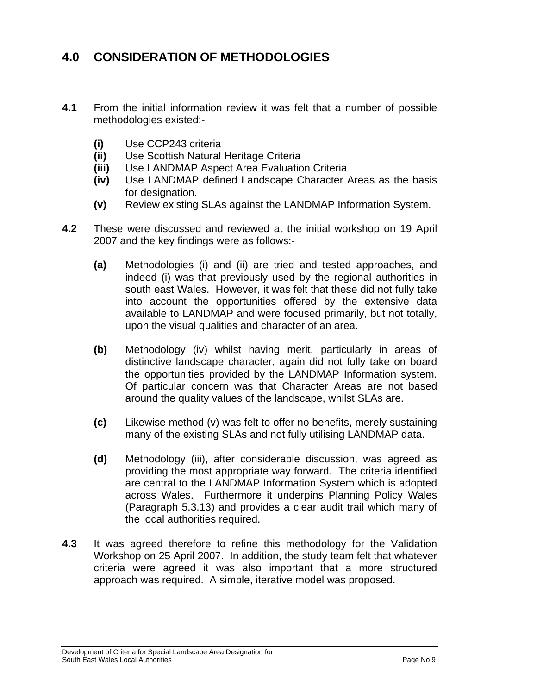# **4.0 CONSIDERATION OF METHODOLOGIES**

- **4.1** From the initial information review it was felt that a number of possible methodologies existed:-
	- **(i)** Use CCP243 criteria
	- **(ii)** Use Scottish Natural Heritage Criteria
	- **(iii)** Use LANDMAP Aspect Area Evaluation Criteria
	- **(iv)** Use LANDMAP defined Landscape Character Areas as the basis for designation.
	- **(v)** Review existing SLAs against the LANDMAP Information System.
- **4.2** These were discussed and reviewed at the initial workshop on 19 April 2007 and the key findings were as follows:-
	- **(a)** Methodologies (i) and (ii) are tried and tested approaches, and indeed (i) was that previously used by the regional authorities in south east Wales. However, it was felt that these did not fully take into account the opportunities offered by the extensive data available to LANDMAP and were focused primarily, but not totally, upon the visual qualities and character of an area.
	- **(b)** Methodology (iv) whilst having merit, particularly in areas of distinctive landscape character, again did not fully take on board the opportunities provided by the LANDMAP Information system. Of particular concern was that Character Areas are not based around the quality values of the landscape, whilst SLAs are.
	- **(c)** Likewise method (v) was felt to offer no benefits, merely sustaining many of the existing SLAs and not fully utilising LANDMAP data.
	- **(d)** Methodology (iii), after considerable discussion, was agreed as providing the most appropriate way forward. The criteria identified are central to the LANDMAP Information System which is adopted across Wales. Furthermore it underpins Planning Policy Wales (Paragraph 5.3.13) and provides a clear audit trail which many of the local authorities required.
- **4.3** It was agreed therefore to refine this methodology for the Validation Workshop on 25 April 2007. In addition, the study team felt that whatever criteria were agreed it was also important that a more structured approach was required. A simple, iterative model was proposed.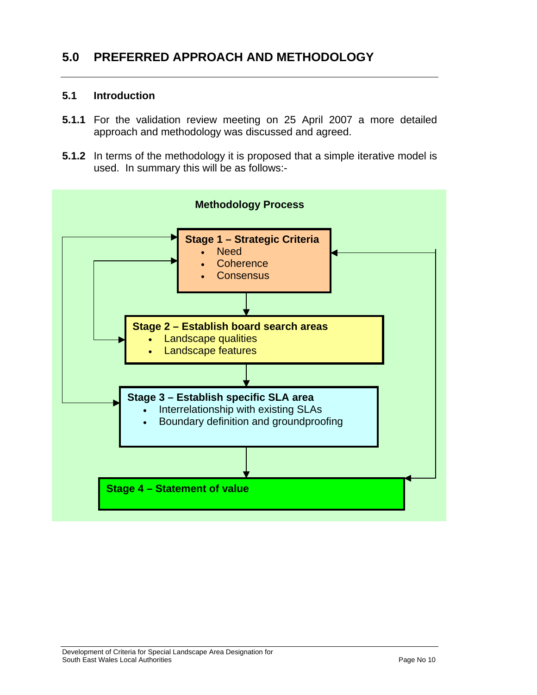# **5.0 PREFERRED APPROACH AND METHODOLOGY**

#### **5.1 Introduction**

- **5.1.1** For the validation review meeting on 25 April 2007 a more detailed approach and methodology was discussed and agreed.
- **5.1.2** In terms of the methodology it is proposed that a simple iterative model is used. In summary this will be as follows:-

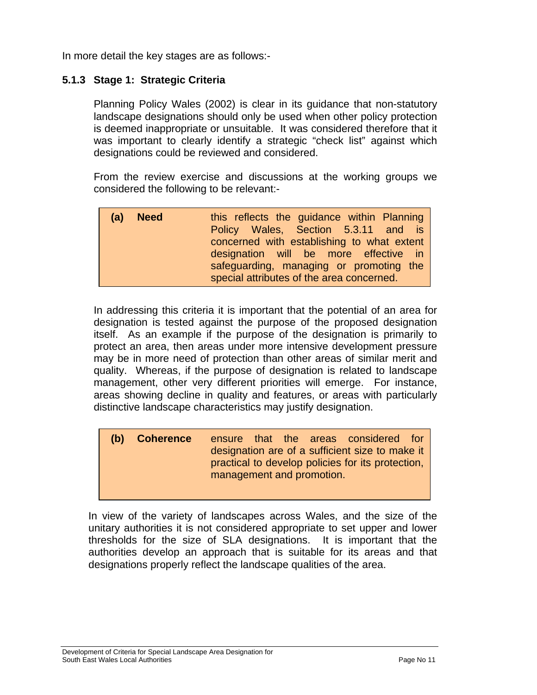In more detail the key stages are as follows:-

### **5.1.3 Stage 1: Strategic Criteria**

Planning Policy Wales (2002) is clear in its guidance that non-statutory landscape designations should only be used when other policy protection is deemed inappropriate or unsuitable. It was considered therefore that it was important to clearly identify a strategic "check list" against which designations could be reviewed and considered.

 From the review exercise and discussions at the working groups we considered the following to be relevant:-

| (a) Need | this reflects the guidance within Planning<br>Policy Wales, Section 5.3.11 and is                                                                                           |
|----------|-----------------------------------------------------------------------------------------------------------------------------------------------------------------------------|
|          | concerned with establishing to what extent<br>designation will be more effective in<br>safeguarding, managing or promoting the<br>special attributes of the area concerned. |

 In addressing this criteria it is important that the potential of an area for designation is tested against the purpose of the proposed designation itself. As an example if the purpose of the designation is primarily to protect an area, then areas under more intensive development pressure may be in more need of protection than other areas of similar merit and quality. Whereas, if the purpose of designation is related to landscape management, other very different priorities will emerge. For instance, areas showing decline in quality and features, or areas with particularly distinctive landscape characteristics may justify designation.

| (b) Coherence |                           |  | ensure that the areas considered for              |  |
|---------------|---------------------------|--|---------------------------------------------------|--|
|               |                           |  | designation are of a sufficient size to make it   |  |
|               |                           |  | practical to develop policies for its protection, |  |
|               | management and promotion. |  |                                                   |  |

 In view of the variety of landscapes across Wales, and the size of the unitary authorities it is not considered appropriate to set upper and lower thresholds for the size of SLA designations. It is important that the authorities develop an approach that is suitable for its areas and that designations properly reflect the landscape qualities of the area.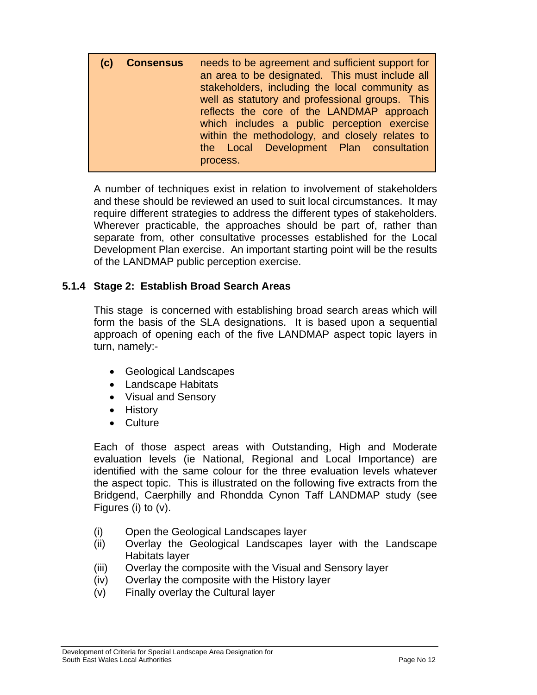| (c) | <b>Consensus</b> | needs to be agreement and sufficient support for<br>an area to be designated. This must include all<br>stakeholders, including the local community as<br>well as statutory and professional groups. This<br>reflects the core of the LANDMAP approach<br>which includes a public perception exercise<br>within the methodology, and closely relates to<br>the Local Development Plan consultation<br>process. |
|-----|------------------|---------------------------------------------------------------------------------------------------------------------------------------------------------------------------------------------------------------------------------------------------------------------------------------------------------------------------------------------------------------------------------------------------------------|
|     |                  |                                                                                                                                                                                                                                                                                                                                                                                                               |

 A number of techniques exist in relation to involvement of stakeholders and these should be reviewed an used to suit local circumstances. It may require different strategies to address the different types of stakeholders. Wherever practicable, the approaches should be part of, rather than separate from, other consultative processes established for the Local Development Plan exercise. An important starting point will be the results of the LANDMAP public perception exercise.

## **5.1.4 Stage 2: Establish Broad Search Areas**

This stage is concerned with establishing broad search areas which will form the basis of the SLA designations. It is based upon a sequential approach of opening each of the five LANDMAP aspect topic layers in turn, namely:-

- Geological Landscapes
- Landscape Habitats
- Visual and Sensory
- History
- Culture

 Each of those aspect areas with Outstanding, High and Moderate evaluation levels (ie National, Regional and Local Importance) are identified with the same colour for the three evaluation levels whatever the aspect topic. This is illustrated on the following five extracts from the Bridgend, Caerphilly and Rhondda Cynon Taff LANDMAP study (see Figures (i) to (v).

- (i) Open the Geological Landscapes layer
- (ii) Overlay the Geological Landscapes layer with the Landscape Habitats layer
- (iii) Overlay the composite with the Visual and Sensory layer
- (iv) Overlay the composite with the History layer
- (v) Finally overlay the Cultural layer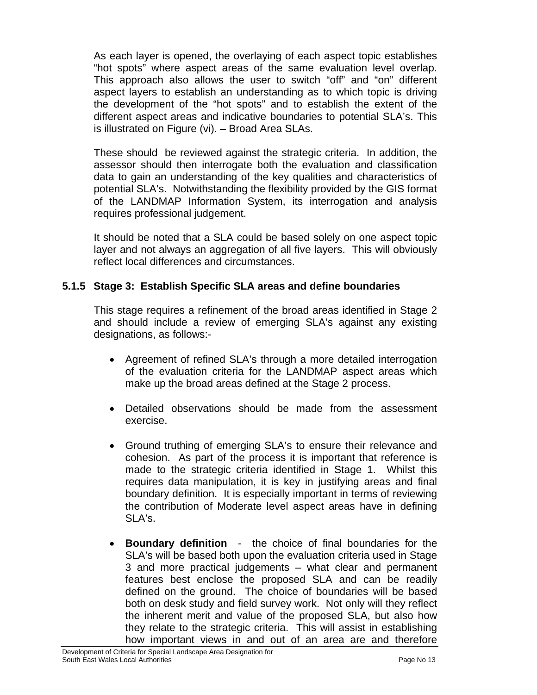As each layer is opened, the overlaying of each aspect topic establishes "hot spots" where aspect areas of the same evaluation level overlap. This approach also allows the user to switch "off" and "on" different aspect layers to establish an understanding as to which topic is driving the development of the "hot spots" and to establish the extent of the different aspect areas and indicative boundaries to potential SLA's. This is illustrated on Figure (vi). – Broad Area SLAs.

 These should be reviewed against the strategic criteria. In addition, the assessor should then interrogate both the evaluation and classification data to gain an understanding of the key qualities and characteristics of potential SLA's. Notwithstanding the flexibility provided by the GIS format of the LANDMAP Information System, its interrogation and analysis requires professional judgement.

 It should be noted that a SLA could be based solely on one aspect topic layer and not always an aggregation of all five layers. This will obviously reflect local differences and circumstances.

## **5.1.5 Stage 3: Establish Specific SLA areas and define boundaries**

This stage requires a refinement of the broad areas identified in Stage 2 and should include a review of emerging SLA's against any existing designations, as follows:-

- Agreement of refined SLA's through a more detailed interrogation of the evaluation criteria for the LANDMAP aspect areas which make up the broad areas defined at the Stage 2 process.
- Detailed observations should be made from the assessment exercise.
- Ground truthing of emerging SLA's to ensure their relevance and cohesion. As part of the process it is important that reference is made to the strategic criteria identified in Stage 1. Whilst this requires data manipulation, it is key in justifying areas and final boundary definition. It is especially important in terms of reviewing the contribution of Moderate level aspect areas have in defining SLA's.
- **Boundary definition** the choice of final boundaries for the SLA's will be based both upon the evaluation criteria used in Stage 3 and more practical judgements – what clear and permanent features best enclose the proposed SLA and can be readily defined on the ground. The choice of boundaries will be based both on desk study and field survey work. Not only will they reflect the inherent merit and value of the proposed SLA, but also how they relate to the strategic criteria. This will assist in establishing how important views in and out of an area are and therefore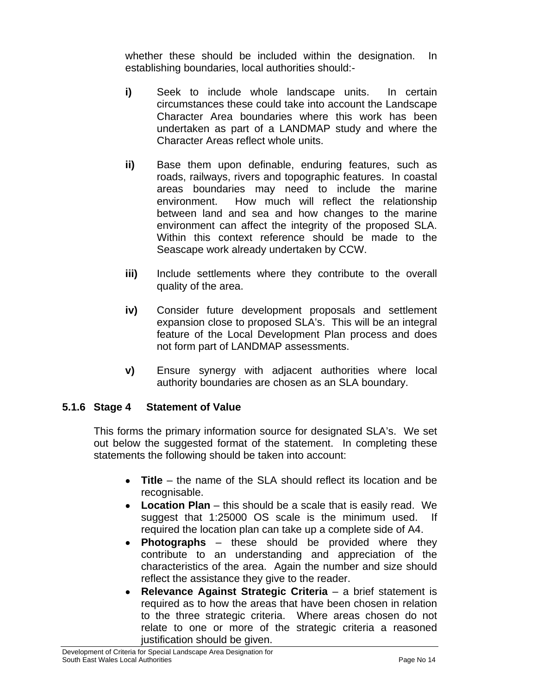whether these should be included within the designation. In establishing boundaries, local authorities should:-

- **i)** Seek to include whole landscape units. In certain circumstances these could take into account the Landscape Character Area boundaries where this work has been undertaken as part of a LANDMAP study and where the Character Areas reflect whole units.
- **ii)** Base them upon definable, enduring features, such as roads, railways, rivers and topographic features. In coastal areas boundaries may need to include the marine environment. How much will reflect the relationship between land and sea and how changes to the marine environment can affect the integrity of the proposed SLA. Within this context reference should be made to the Seascape work already undertaken by CCW.
- **iii)** Include settlements where they contribute to the overall quality of the area.
- **iv)** Consider future development proposals and settlement expansion close to proposed SLA's. This will be an integral feature of the Local Development Plan process and does not form part of LANDMAP assessments.
- **v)** Ensure synergy with adjacent authorities where local authority boundaries are chosen as an SLA boundary.

## **5.1.6 Stage 4 Statement of Value**

This forms the primary information source for designated SLA's. We set out below the suggested format of the statement. In completing these statements the following should be taken into account:

- **Title** the name of the SLA should reflect its location and be recognisable.
- **Location Plan** this should be a scale that is easily read. We suggest that 1:25000 OS scale is the minimum used. If required the location plan can take up a complete side of A4.
- **Photographs** these should be provided where they contribute to an understanding and appreciation of the characteristics of the area. Again the number and size should reflect the assistance they give to the reader.
- **Relevance Against Strategic Criteria** a brief statement is required as to how the areas that have been chosen in relation to the three strategic criteria. Where areas chosen do not relate to one or more of the strategic criteria a reasoned justification should be given.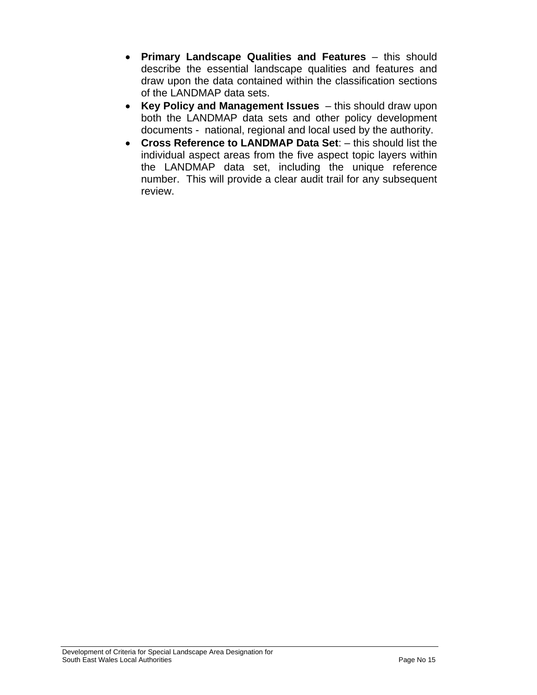- **Primary Landscape Qualities and Features** this should describe the essential landscape qualities and features and draw upon the data contained within the classification sections of the LANDMAP data sets.
- **Key Policy and Management Issues**  this should draw upon both the LANDMAP data sets and other policy development documents - national, regional and local used by the authority.
- **Cross Reference to LANDMAP Data Set**: this should list the individual aspect areas from the five aspect topic layers within the LANDMAP data set, including the unique reference number. This will provide a clear audit trail for any subsequent review.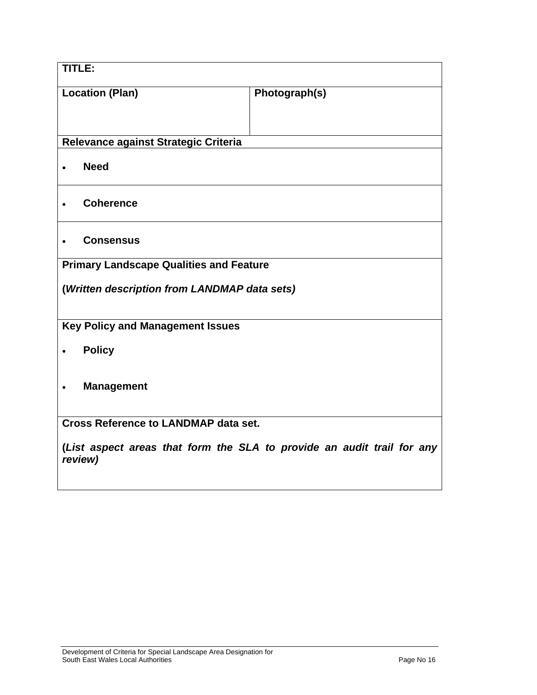| TITLE:                                                                            |               |  |  |
|-----------------------------------------------------------------------------------|---------------|--|--|
| <b>Location (Plan)</b>                                                            | Photograph(s) |  |  |
|                                                                                   |               |  |  |
| Relevance against Strategic Criteria                                              |               |  |  |
| <b>Need</b>                                                                       |               |  |  |
| <b>Coherence</b>                                                                  |               |  |  |
| <b>Consensus</b>                                                                  |               |  |  |
| <b>Primary Landscape Qualities and Feature</b>                                    |               |  |  |
| (Written description from LANDMAP data sets)                                      |               |  |  |
| <b>Key Policy and Management Issues</b>                                           |               |  |  |
| <b>Policy</b>                                                                     |               |  |  |
| <b>Management</b>                                                                 |               |  |  |
| <b>Cross Reference to LANDMAP data set.</b>                                       |               |  |  |
| (List aspect areas that form the SLA to provide an audit trail for any<br>review) |               |  |  |
|                                                                                   |               |  |  |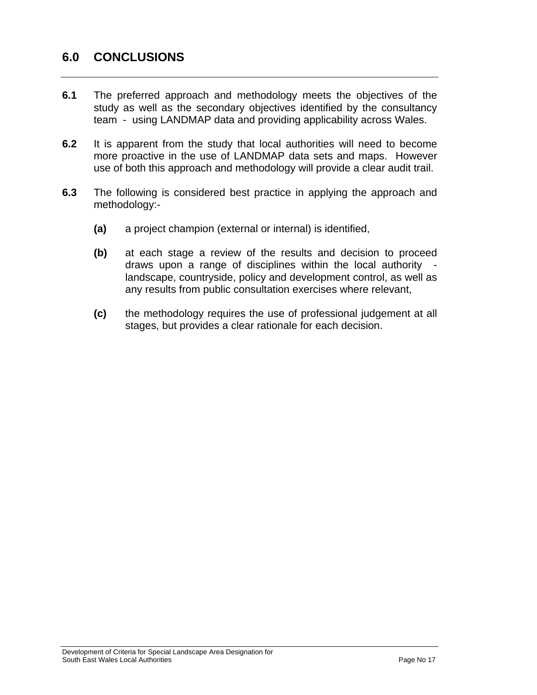# **6.0 CONCLUSIONS**

- **6.1** The preferred approach and methodology meets the objectives of the study as well as the secondary objectives identified by the consultancy team - using LANDMAP data and providing applicability across Wales.
- **6.2** It is apparent from the study that local authorities will need to become more proactive in the use of LANDMAP data sets and maps. However use of both this approach and methodology will provide a clear audit trail.
- **6.3** The following is considered best practice in applying the approach and methodology:-
	- **(a)** a project champion (external or internal) is identified,
	- **(b)** at each stage a review of the results and decision to proceed draws upon a range of disciplines within the local authority landscape, countryside, policy and development control, as well as any results from public consultation exercises where relevant,
	- **(c)** the methodology requires the use of professional judgement at all stages, but provides a clear rationale for each decision.